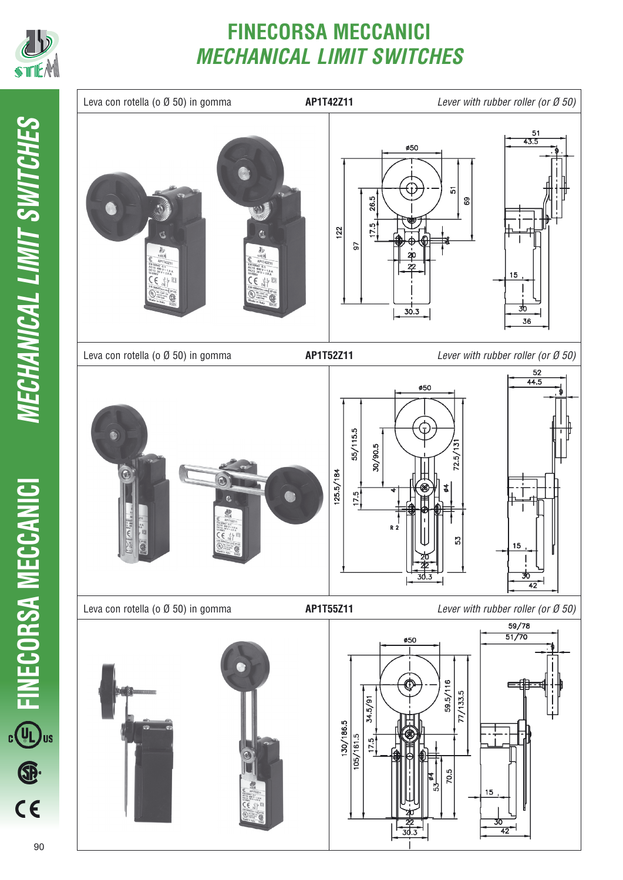

# **FINECORSA MECCANICI** *MECHANICAL LIMIT SWITCHES*